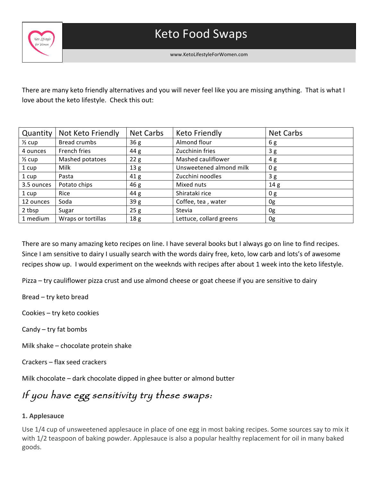

 

www.KetoLifestyleForWomen.com

There are many keto friendly alternatives and you will never feel like you are missing anything. That is what I love about the keto lifestyle. Check this out:

| Quantity          | Not Keto Friendly   | <b>Net Carbs</b> | <b>Keto Friendly</b>    | <b>Net Carbs</b> |
|-------------------|---------------------|------------------|-------------------------|------------------|
| $\frac{1}{2}$ cup | <b>Bread crumbs</b> | 36g              | Almond flour            | 6g               |
| 4 ounces          | French fries        | 44 g             | Zucchinin fries         | 3g               |
| $\frac{1}{2}$ cup | Mashed potatoes     | 22g              | Mashed cauliflower      | 4 g              |
| 1 cup             | Milk                | 13 <sub>g</sub>  | Unsweetened almond milk | 0 g              |
| 1 cup             | Pasta               | 41 <sub>g</sub>  | Zucchini noodles        | 3g               |
| 3.5 ounces        | Potato chips        | 46g              | Mixed nuts              | 14 <sub>g</sub>  |
| 1 cup             | Rice                | 44 g             | Shirataki rice          | 0 g              |
| 12 ounces         | Soda                | 39g              | Coffee, tea, water      | 0g               |
| 2 tbsp            | Sugar               | 25g              | Stevia                  | 0g               |
| 1 medium          | Wraps or tortillas  | 18 <sub>g</sub>  | Lettuce, collard greens | 0g               |

There are so many amazing keto recipes on line. I have several books but I always go on line to find recipes. Since I am sensitive to dairy I usually search with the words dairy free, keto, low carb and lots's of awesome recipes show up. I would experiment on the weeknds with recipes after about 1 week into the keto lifestyle.

Pizza - try cauliflower pizza crust and use almond cheese or goat cheese if you are sensitive to dairy

Bread - try keto bread

Cookies - try keto cookies

Candy  $-$  try fat bombs

Milk shake  $-$  chocolate protein shake

Crackers – flax seed crackers

Milk chocolate – dark chocolate dipped in ghee butter or almond butter

# If you have egg sensitivity try these swaps:

## **1. Applesauce**

Use 1/4 cup of unsweetened applesauce in place of one egg in most baking recipes. Some sources say to mix it with 1/2 teaspoon of baking powder. Applesauce is also a popular healthy replacement for oil in many baked goods.